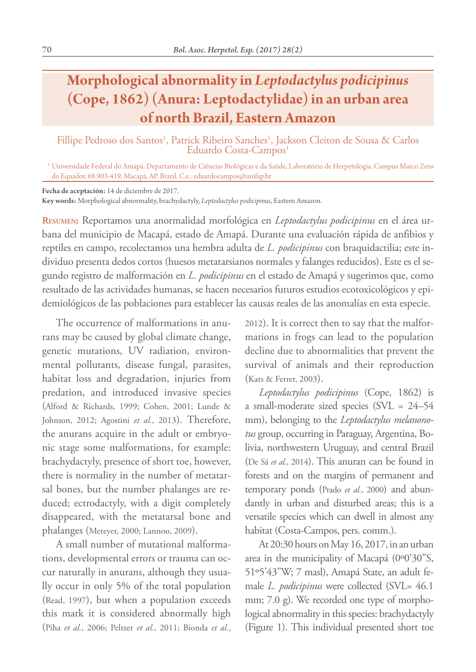## **Morphological abnormality in** *Leptodactylus podicipinus* **(Cope, 1862) (Anura: Leptodactylidae) in an urban area of north Brazil, Eastern Amazon**

Fillipe Pedroso dos Santos<sup>1</sup>, Patrick Ribeiro Sanches<sup>1</sup>, Jackson Cleiton de Sousa & Carlos<br>Eduardo Costa-Campos<sup>1</sup>

<sup>1</sup> Universidade Federal do Amapá. Departamento de Ciências Biológicas e da Saúde, Laboratório de Herpetologia. Campus Marco Zero do Equador. 68.903-419, Macapá, AP. Brazil. C.e.: eduardocampos@unifap.br

**Fecha de aceptación:** 14 de diciembre de 2017.

**Key words:** Morphological abnormality, brachydactyly, *Leptodactylus podicipinus*, Eastern Amazon.

**Resumen:** Reportamos una anormalidad morfológica en *Leptodactylus podicipinus* en el área urbana del municipio de Macapá, estado de Amapá. Durante una evaluación rápida de anfibios y reptiles en campo, recolectamos una hembra adulta de *L. podicipinus* con braquidactilia; este individuo presenta dedos cortos (huesos metatarsianos normales y falanges reducidos). Este es el segundo registro de malformación en *L. podicipinus* en el estado de Amapá y sugerimos que, como resultado de las actividades humanas, se hacen necesarios futuros estudios ecotoxicológicos y epidemiológicos de las poblaciones para establecer las causas reales de las anomalías en esta especie.

The occurrence of malformations in anurans may be caused by global climate change, genetic mutations, UV radiation, environmental pollutants, disease fungal, parasites, habitat loss and degradation, injuries from predation, and introduced invasive species (Alford & Richards, 1999; Cohen, 2001; Lunde & Johnson, 2012; Agostini *et al.*, 2013). Therefore, the anurans acquire in the adult or embryonic stage some malformations, for example: brachydactyly, presence of short toe, however, there is normality in the number of metatarsal bones, but the number phalanges are reduced; ectrodactyly, with a digit completely disappeared, with the metatarsal bone and phalanges (Meteyer, 2000; Lannoo, 2009).

A small number of mutational malformations, developmental errors or trauma can occur naturally in anurans, although they usually occur in only 5% of the total population (Read, 1997), but when a population exceeds this mark it is considered abnormally high (Piha *et al.*, 2006; Peltzer *et al.*, 2011; Bionda *et al.*, 2012). It is correct then to say that the malformations in frogs can lead to the population decline due to abnormalities that prevent the survival of animals and their reproduction (Kats & Ferrer, 2003).

*Leptodactylus podicipinus* (Cope, 1862) is a small-moderate sized species (SVL = 24–54 mm), belonging to the *Leptodactylus melanonotus* group, occurring in Paraguay, Argentina, Bolivia, northwestern Uruguay, and central Brazil (De Sá *et al.*, 2014). This anuran can be found in forests and on the margins of permanent and temporary ponds (Prado *et al.*, 2000) and abundantly in urban and disturbed areas; this is a versatile species which can dwell in almost any habitat (Costa-Campos, pers. comm.).

At 20:30 hours on May 16, 2017, in an urban area in the municipality of Macapá (0º0'30"S, 51º5'43"W; 7 masl), Amapá State, an adult female *L. podicipinus* were collected (SVL= 46.1 mm; 7.0 g). We recorded one type of morphological abnormality in this species: brachydactyly (Figure 1). This individual presented short toe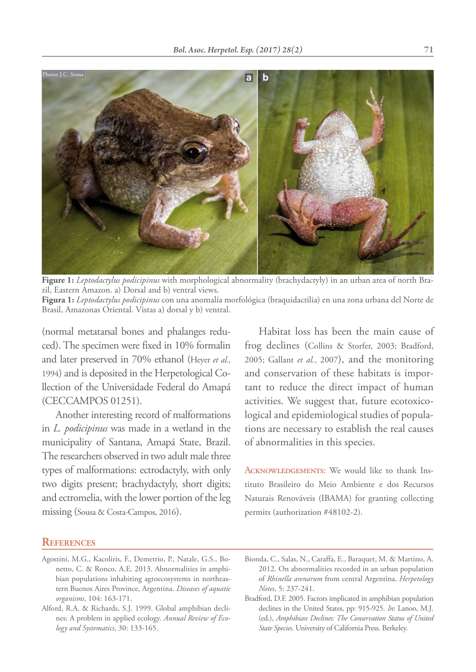

**Figure 1:** *Leptodactylus podicipinus* with morphological abnormality (brachydactyly) in an urban area of north Brazil, Eastern Amazon. a) Dorsal and b) ventral views.

**Figura 1:** *Leptodactylus podicipinus* con una anomalía morfológica (braquidactilia) en una zona urbana del Norte de Brasil, Amazonas Oriental. Vistas a) dorsal y b) ventral.

(normal metatarsal bones and phalanges reduced). The specimen were fixed in 10% formalin and later preserved in 70% ethanol (Heyer *et al.*, 1994) and is deposited in the Herpetological Collection of the Universidade Federal do Amapá (CECCAMPOS 01251).

Another interesting record of malformations in *L. podicipinus* was made in a wetland in the municipality of Santana, Amapá State, Brazil. The researchers observed in two adult male three types of malformations: ectrodactyly, with only two digits present; brachydactyly, short digits; and ectromelia, with the lower portion of the leg missing (Sousa & Costa-Campos, 2016).

Habitat loss has been the main cause of frog declines (Collins & Storfer, 2003; Bradford, 2005; Gallant *et al.*, 2007), and the monitoring and conservation of these habitats is important to reduce the direct impact of human activities. We suggest that, future ecotoxicological and epidemiological studies of populations are necessary to establish the real causes of abnormalities in this species.

ACKNOWLEDGEMENTS: We would like to thank Instituto Brasileiro do Meio Ambiente e dos Recursos Naturais Renováveis (IBAMA) for granting collecting permits (authorization #48102-2).

## **References**

- Agostini, M.G., Kacoliris, F., Demetrio, P., Natale, G.S., Bonetto, C. & Ronco, A.E. 2013. Abnormalities in amphibian populations inhabiting agroecosystems in northeastern Buenos Aires Province, Argentina. *Diseases of aquatic organisms*, 104: 163-171.
- Alford, R.A. & Richards, S.J. 1999. Global amphibian declines: A problem in applied ecology. *Annual Review of Ecology and Systematics*, 30: 133-165.
- Bionda, C., Salas, N., Caraffa, E., Baraquet, M. & Martino, A. 2012. On abnormalities recorded in an urban population of *Rhinella arenarum* from central Argentina. *Herpetology Notes*, 5: 237-241.

Bradford, D.F. 2005. Factors implicated in amphibian population declines in the United States, pp: 915-925. *In*: Lanoo, M.J. (ed.), *Amphibian Declines: The Conservation Status of United State Species*. University of California Press. Berkeley.